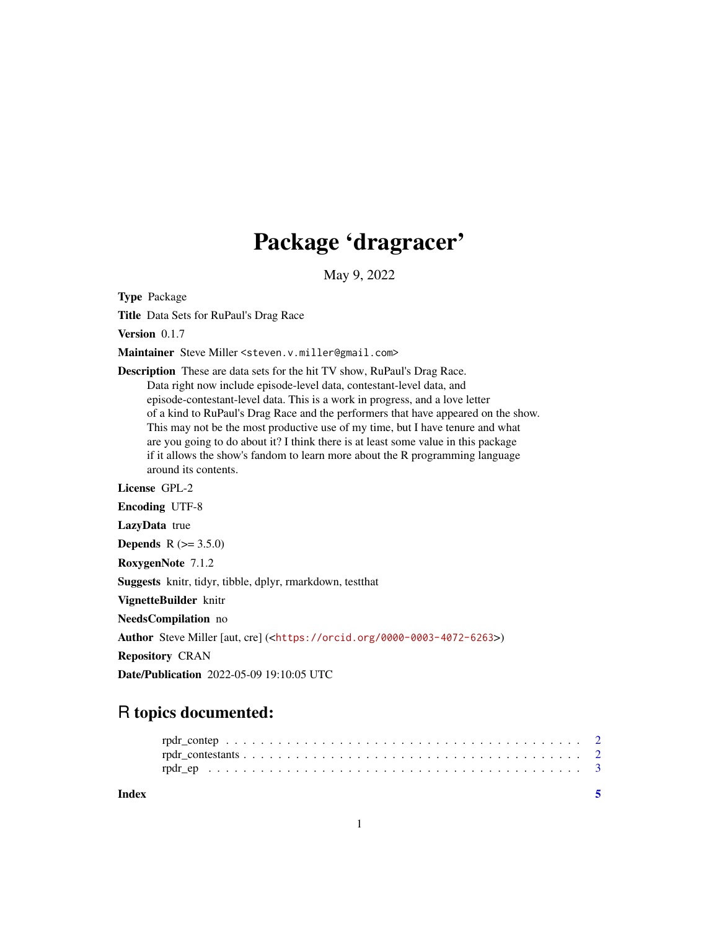## Package 'dragracer'

May 9, 2022

Type Package

Title Data Sets for RuPaul's Drag Race

Version 0.1.7

Maintainer Steve Miller <steven.v.miller@gmail.com>

Description These are data sets for the hit TV show, RuPaul's Drag Race. Data right now include episode-level data, contestant-level data, and episode-contestant-level data. This is a work in progress, and a love letter of a kind to RuPaul's Drag Race and the performers that have appeared on the show. This may not be the most productive use of my time, but I have tenure and what are you going to do about it? I think there is at least some value in this package if it allows the show's fandom to learn more about the R programming language around its contents.

#### License GPL-2

Encoding UTF-8

LazyData true

**Depends**  $R (= 3.5.0)$ 

RoxygenNote 7.1.2

Suggests knitr, tidyr, tibble, dplyr, rmarkdown, testthat

VignetteBuilder knitr

NeedsCompilation no

Author Steve Miller [aut, cre] (<<https://orcid.org/0000-0003-4072-6263>>)

Repository CRAN

Date/Publication 2022-05-09 19:10:05 UTC

### R topics documented:

| Index |  |  |
|-------|--|--|
|       |  |  |
|       |  |  |
|       |  |  |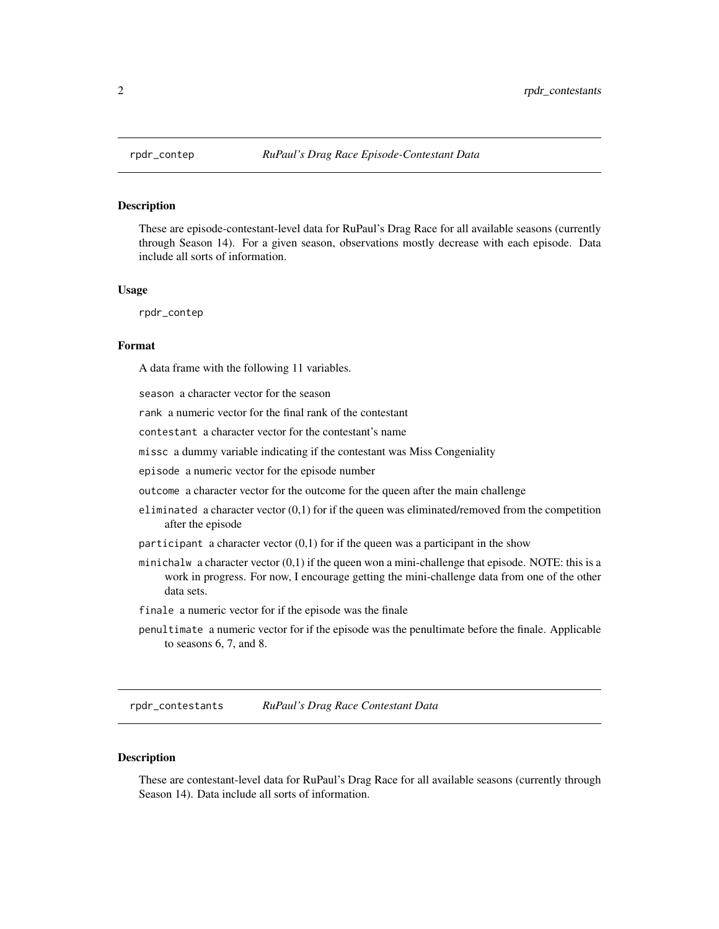<span id="page-1-0"></span>

#### Description

These are episode-contestant-level data for RuPaul's Drag Race for all available seasons (currently through Season 14). For a given season, observations mostly decrease with each episode. Data include all sorts of information.

#### Usage

rpdr\_contep

#### Format

A data frame with the following 11 variables.

season a character vector for the season

rank a numeric vector for the final rank of the contestant

contestant a character vector for the contestant's name

missc a dummy variable indicating if the contestant was Miss Congeniality

episode a numeric vector for the episode number

outcome a character vector for the outcome for the queen after the main challenge

- eliminated a character vector  $(0,1)$  for if the queen was eliminated/removed from the competition after the episode
- participant a character vector  $(0,1)$  for if the queen was a participant in the show
- minichalw a character vector  $(0,1)$  if the queen won a mini-challenge that episode. NOTE: this is a work in progress. For now, I encourage getting the mini-challenge data from one of the other data sets.
- finale a numeric vector for if the episode was the finale
- penultimate a numeric vector for if the episode was the penultimate before the finale. Applicable to seasons 6, 7, and 8.

rpdr\_contestants *RuPaul's Drag Race Contestant Data*

#### Description

These are contestant-level data for RuPaul's Drag Race for all available seasons (currently through Season 14). Data include all sorts of information.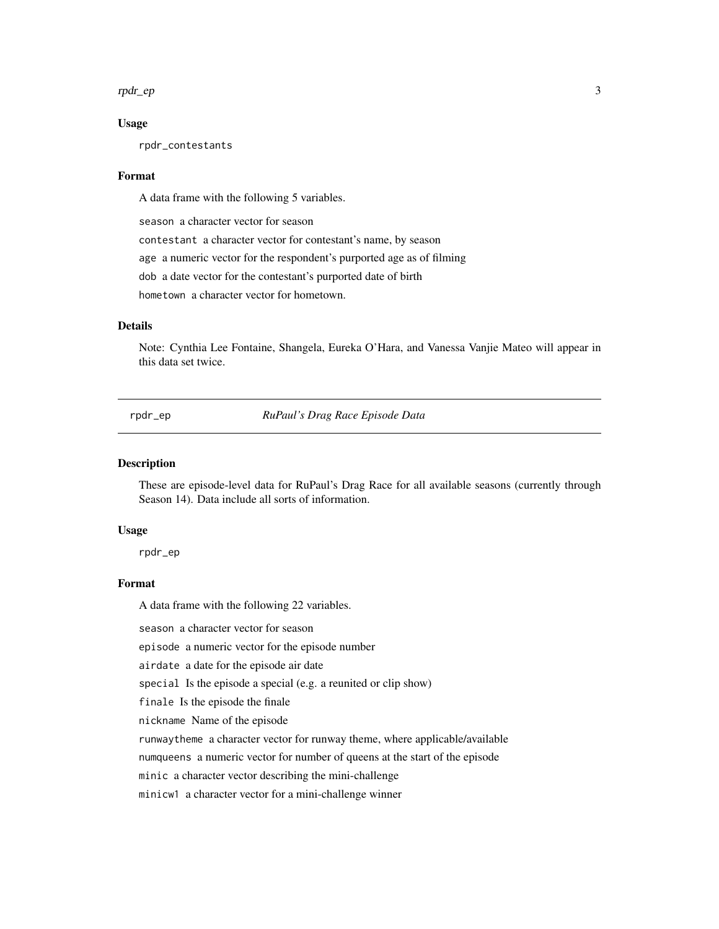#### <span id="page-2-0"></span>rpdr\_ep 3

#### Usage

rpdr\_contestants

#### Format

A data frame with the following 5 variables.

season a character vector for season

contestant a character vector for contestant's name, by season

age a numeric vector for the respondent's purported age as of filming

dob a date vector for the contestant's purported date of birth

hometown a character vector for hometown.

#### **Details**

Note: Cynthia Lee Fontaine, Shangela, Eureka O'Hara, and Vanessa Vanjie Mateo will appear in this data set twice.

rpdr\_ep *RuPaul's Drag Race Episode Data*

#### Description

These are episode-level data for RuPaul's Drag Race for all available seasons (currently through Season 14). Data include all sorts of information.

#### Usage

rpdr\_ep

#### Format

A data frame with the following 22 variables.

season a character vector for season

episode a numeric vector for the episode number

airdate a date for the episode air date

special Is the episode a special (e.g. a reunited or clip show)

finale Is the episode the finale

nickname Name of the episode

runwaytheme a character vector for runway theme, where applicable/available

numqueens a numeric vector for number of queens at the start of the episode

minic a character vector describing the mini-challenge

minicw1 a character vector for a mini-challenge winner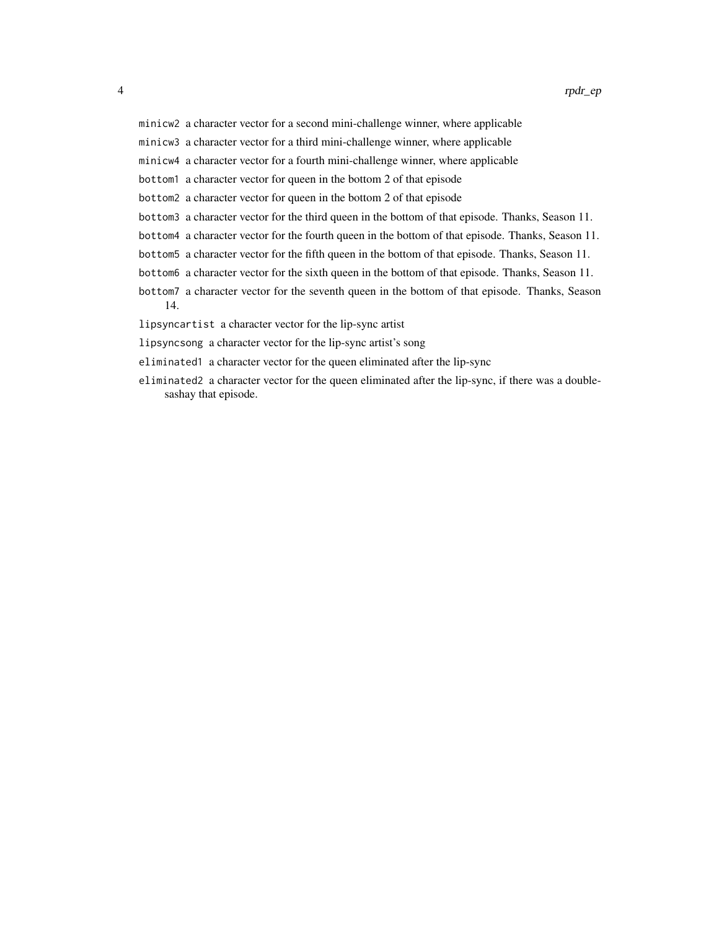minicw2 a character vector for a second mini-challenge winner, where applicable

minicw3 a character vector for a third mini-challenge winner, where applicable

minicw4 a character vector for a fourth mini-challenge winner, where applicable

bottom1 a character vector for queen in the bottom 2 of that episode

bottom2 a character vector for queen in the bottom 2 of that episode

- bottom3 a character vector for the third queen in the bottom of that episode. Thanks, Season 11.
- bottom4 a character vector for the fourth queen in the bottom of that episode. Thanks, Season 11.
- bottom5 a character vector for the fifth queen in the bottom of that episode. Thanks, Season 11.
- bottom6 a character vector for the sixth queen in the bottom of that episode. Thanks, Season 11.
- bottom7 a character vector for the seventh queen in the bottom of that episode. Thanks, Season 14.

lipsyncartist a character vector for the lip-sync artist

lipsyncsong a character vector for the lip-sync artist's song

eliminated1 a character vector for the queen eliminated after the lip-sync

eliminated2 a character vector for the queen eliminated after the lip-sync, if there was a doublesashay that episode.